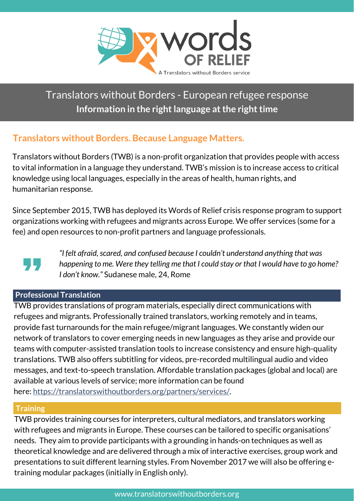

# Translators without Borders - European refugee response **Information in the right language at the right time**

# **Translators without Borders. Because Language Matters.**

Translators without Borders (TWB) is a non-profit organization that provides people with access to vital information in a language they understand. TWB's mission is to increase access to critical knowledge using local languages, especially in the areas of health, human rights, and humanitarian response.

Since September 2015, TWB has deployed its Words of Relief crisis response program to support organizations working with refugees and migrants across Europe. We offer services (some for a fee) and open resources to non-profit partners and language professionals.



*"I felt afraid,scared, and confused because I couldn't understand anything that was happening to me. Were they telling me that I could stay or that I would have to go home? I don't know."* Sudanese male, 24, Rome

# **Professional Translation**

TWB provides translations of program materials, especially direct communications with refugees and migrants. Professionally trained translators, working remotely and in teams, provide fast turnarounds for the main refugee/migrant languages. We constantly widen our network of translators to cover emerging needs in new languages as they arise and provide our teams with computer-assisted translation tools to increase consistency and ensure high-quality translations. TWB also offers subtitling for videos, pre-recorded multilingual audio and video messages, and text-to-speech translation. Affordable translation packages (global and local) are available at various levels of service; more information can be found here: [https://translatorswithoutborders.org/partners/services/.](https://translatorswithoutborders.org/partners/services/)

### **Training**

TWB provides training courses for interpreters, cultural mediators, and translators working with refugees and migrants in Europe. These courses can be tailored to specific [organisations'](https://translatorswithoutborders.org/about-us/resources/) needs. They aim to provide participants with a grounding in hands-on techniques as well as theoretical knowledge and are delivered through a mix of interactive exercises, group work and presentations to suit different learning styles. From November 2017 we will also be offering etraining modular packages (initially in English only).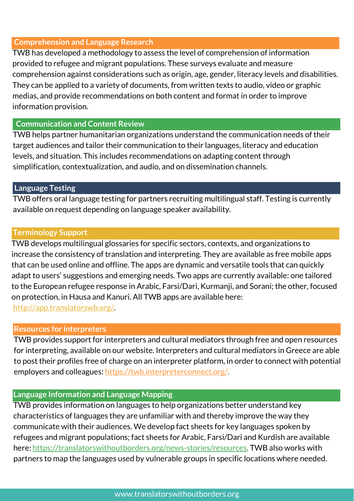## **Comprehension and Language Research**

TWB has developed a methodology to assess the level of comprehension of information provided to refugee and migrant populations. These surveys evaluate and measure comprehension against considerations such as origin, age, gender, literacy levels and disabilities. They can be applied to a variety of documents, from written texts to audio, video or graphic medias, and provide recommendations on both content and format in order to improve information provision.

## **Communication and Content Review**

TWB helps partner humanitarian organizations understand the communication needs of their target audiences and tailor their communication to their languages, literacy and education levels, and situation. This includes recommendations on adapting content through simplification, contextualization, and audio, and on dissemination channels.

# **Language Testing**

TWB offers oral language testing for partners recruiting multilingual staff. Testing is currently available on request depending on language speaker availability.

### **Terminology Support**

TWB develops multilingual glossaries for specific sectors, contexts, and organizations to increase the consistency of translation and interpreting. They are available as free mobile apps that can be used online and offline. The apps are dynamic and versatile tools that can quickly adapt to users' suggestions and emerging needs. Two apps are currently available: one tailored to the European refugee response in Arabic, Farsi/Dari, Kurmanji, and Sorani; the other, focused on protection, in Hausa and Kanuri. All TWB apps are available here: [http://app.translatorswb.org/.](http://app.translatorswb.org/)

### **Resources for interpreters**

TWB provides support for interpreters and cultural mediators through free and open resources for interpreting, available on our website. Interpreters and cultural mediators in Greece are able to post their profiles free of charge on an interpreter platform, in order to connect with potential employers and colleagues: [https://twb.interpreterconnect.org/.](https://twb.interpreterconnect.org/)

#### **Language Information and Language Mapping**

TWB provides information on languages to help organizations better understand key characteristics of languages they are unfamiliar with and thereby improve the way they communicate with their audiences. We develop fact sheets for key languages spoken by refugees and migrant populations; fact sheets for Arabic, Farsi/Dari and Kurdish are available here: [https://translatorswithoutborders.org/news-stories/resources.](https://translatorswithoutborders.org/news-stories/resources) TWB also works with partners to map the languages used by vulnerable groups in specific locations where needed.